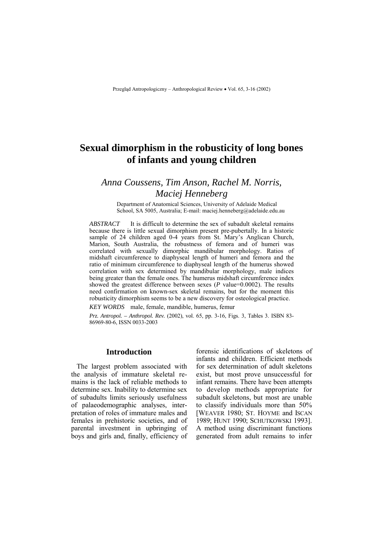# **Sexual dimorphism in the robusticity of long bones of infants and young children**

## *Anna Coussens, Tim Anson, Rachel M. Norris, Maciej Henneberg*

Department of Anatomical Sciences, University of Adelaide Medical School, SA 5005, Australia; E-mail: maciej.henneberg@adelaide.edu.au

*ABSTRACT* It is difficult to determine the sex of subadult skeletal remains because there is little sexual dimorphism present pre-pubertally. In a historic sample of 24 children aged 0-4 years from St. Mary's Anglican Church, Marion, South Australia, the robustness of femora and of humeri was correlated with sexually dimorphic mandibular morphology. Ratios of midshaft circumference to diaphyseal length of humeri and femora and the ratio of minimum circumference to diaphyseal length of the humerus showed correlation with sex determined by mandibular morphology, male indices being greater than the female ones. The humerus midshaft circumference index showed the greatest difference between sexes (*P* value=0.0002). The results need confirmation on known-sex skeletal remains, but for the moment this robusticity dimorphism seems to be a new discovery for osteological practice.

*KEY WORDS* male, female, mandible, humerus, femur

*Prz. Antropol. – Anthropol. Rev.* (2002), vol. 65, pp. 3-16, Figs. 3, Tables 3. ISBN 83- 86969-80-6, ISSN 0033-2003

### **Introduction**

The largest problem associated with the analysis of immature skeletal remains is the lack of reliable methods to determine sex. Inability to determine sex of subadults limits seriously usefulness of palaeodemographic analyses, interpretation of roles of immature males and females in prehistoric societies, and of parental investment in upbringing of boys and girls and, finally, efficiency of

forensic identifications of skeletons of infants and children. Efficient methods for sex determination of adult skeletons exist, but most prove unsuccessful for infant remains. There have been attempts to develop methods appropriate for subadult skeletons, but most are unable to classify individuals more than 50% [WEAVER 1980; ST. HOYME and ISCAN 1989; HUNT 1990; SCHUTKOWSKI 1993]. A method using discriminant functions generated from adult remains to infer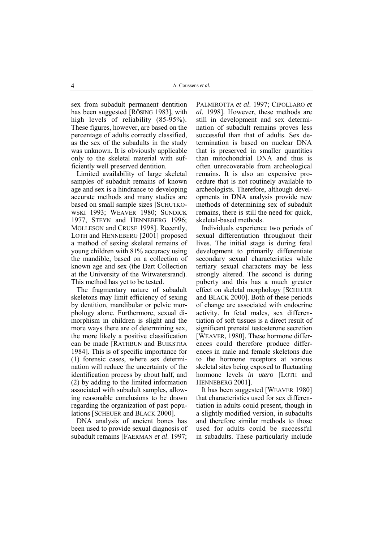sex from subadult permanent dentition has been suggested [RÖSING 1983], with high levels of reliability (85-95%). These figures, however, are based on the percentage of adults correctly classified, as the sex of the subadults in the study was unknown. It is obviously applicable only to the skeletal material with sufficiently well preserved dentition.

Limited availability of large skeletal samples of subadult remains of known age and sex is a hindrance to developing accurate methods and many studies are based on small sample sizes [SCHUTKO-WSKI 1993; WEAVER 1980; SUNDICK 1977, STEYN and HENNEBERG 1996; MOLLESON and CRUSE 1998]. Recently, LOTH and HENNEBERG [2001] proposed a method of sexing skeletal remains of young children with 81% accuracy using the mandible, based on a collection of known age and sex (the Dart Collection at the University of the Witwatersrand). This method has yet to be tested.

The fragmentary nature of subadult skeletons may limit efficiency of sexing by dentition, mandibular or pelvic morphology alone. Furthermore, sexual dimorphism in children is slight and the more ways there are of determining sex, the more likely a positive classification can be made [RATHBUN and BUIKSTRA 1984]. This is of specific importance for (1) forensic cases, where sex determination will reduce the uncertainty of the identification process by about half, and (2) by adding to the limited information associated with subadult samples, allowing reasonable conclusions to be drawn regarding the organization of past populations [SCHEUER and BLACK 2000].

DNA analysis of ancient bones has been used to provide sexual diagnosis of subadult remains [FAERMAN *et al*. 1997;

PALMIROTTA *et al*. 1997; CIPOLLARO *et al*. 1998]. However, these methods are still in development and sex determination of subadult remains proves less successful than that of adults. Sex determination is based on nuclear DNA that is preserved in smaller quantities than mitochondrial DNA and thus is often unrecoverable from archeological remains. It is also an expensive procedure that is not routinely available to archeologists. Therefore, although developments in DNA analysis provide new methods of determining sex of subadult remains, there is still the need for quick, skeletal-based methods.

Individuals experience two periods of sexual differentiation throughout their lives. The initial stage is during fetal development to primarily differentiate secondary sexual characteristics while tertiary sexual characters may be less strongly altered. The second is during puberty and this has a much greater effect on skeletal morphology [SCHEUER and BLACK 2000]. Both of these periods of change are associated with endocrine activity. In fetal males, sex differentiation of soft tissues is a direct result of significant prenatal testosterone secretion [WEAVER, 1980]. These hormone differences could therefore produce differences in male and female skeletons due to the hormone receptors at various skeletal sites being exposed to fluctuating hormone levels *in utero* [LOTH and HENNEBERG 2001].

It has been suggested [WEAVER 1980] that characteristics used for sex differentiation in adults could present, though in a slightly modified version, in subadults and therefore similar methods to those used for adults could be successful in subadults. These particularly include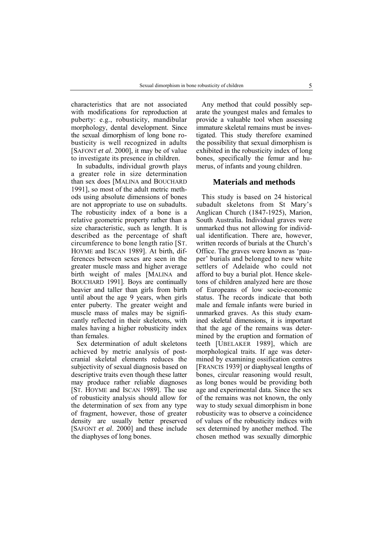characteristics that are not associated with modifications for reproduction at puberty: e.g., robusticity, mandibular morphology, dental development. Since the sexual dimorphism of long bone robusticity is well recognized in adults [SAFONT *et al*. 2000], it may be of value to investigate its presence in children.

In subadults, individual growth plays a greater role in size determination than sex does [MALINA and BOUCHARD 1991], so most of the adult metric methods using absolute dimensions of bones are not appropriate to use on subadults. The robusticity index of a bone is a relative geometric property rather than a size characteristic, such as length. It is described as the percentage of shaft circumference to bone length ratio [ST. HOYME and ISCAN 1989]. At birth, differences between sexes are seen in the greater muscle mass and higher average birth weight of males [MALINA and BOUCHARD 1991]. Boys are continually heavier and taller than girls from birth until about the age 9 years, when girls enter puberty. The greater weight and muscle mass of males may be significantly reflected in their skeletons, with males having a higher robusticity index than females.

Sex determination of adult skeletons achieved by metric analysis of postcranial skeletal elements reduces the subjectivity of sexual diagnosis based on descriptive traits even though these latter may produce rather reliable diagnoses [ST. HOYME and ISCAN 1989]. The use of robusticity analysis should allow for the determination of sex from any type of fragment, however, those of greater density are usually better preserved [SAFONT *et al*. 2000] and these include the diaphyses of long bones.

Any method that could possibly separate the youngest males and females to provide a valuable tool when assessing immature skeletal remains must be investigated. This study therefore examined the possibility that sexual dimorphism is exhibited in the robusticity index of long bones, specifically the femur and humerus, of infants and young children.

#### **Materials and methods**

This study is based on 24 historical subadult skeletons from St Mary's Anglican Church (1847-1925), Marion, South Australia. Individual graves were unmarked thus not allowing for individual identification. There are, however, written records of burials at the Church's Office. The graves were known as 'pauper' burials and belonged to new white settlers of Adelaide who could not afford to buy a burial plot. Hence skeletons of children analyzed here are those of Europeans of low socio-economic status. The records indicate that both male and female infants were buried in unmarked graves. As this study examined skeletal dimensions, it is important that the age of the remains was determined by the eruption and formation of teeth [UBELAKER 1989], which are morphological traits. If age was determined by examining ossification centres [FRANCIS 1939] or diaphyseal lengths of bones, circular reasoning would result, as long bones would be providing both age and experimental data. Since the sex of the remains was not known, the only way to study sexual dimorphism in bone robusticity was to observe a coincidence of values of the robusticity indices with sex determined by another method. The chosen method was sexually dimorphic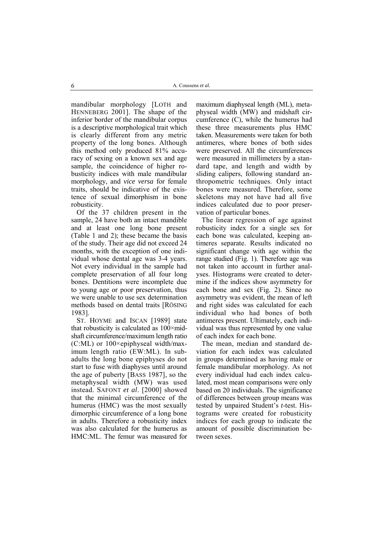mandibular morphology [LOTH and HENNEBERG 2001]. The shape of the inferior border of the mandibular corpus is a descriptive morphological trait which is clearly different from any metric property of the long bones. Although this method only produced 81% accuracy of sexing on a known sex and age sample, the coincidence of higher robusticity indices with male mandibular morphology, and *vice versa* for female traits, should be indicative of the existence of sexual dimorphism in bone robusticity.

Of the 37 children present in the sample, 24 have both an intact mandible and at least one long bone present (Table 1 and 2); these became the basis of the study. Their age did not exceed 24 months, with the exception of one individual whose dental age was 3-4 years. Not every individual in the sample had complete preservation of all four long bones. Dentitions were incomplete due to young age or poor preservation, thus we were unable to use sex determination methods based on dental traits [RÖSING] 1983].

ST. HOYME and ISCAN [1989] state that robusticity is calculated as  $100 \times mid$ shaft circumference/maximum length ratio (C:ML) or 100×epiphyseal width/maximum length ratio (EW:ML). In subadults the long bone epiphyses do not start to fuse with diaphyses until around the age of puberty [BASS 1987], so the metaphyseal width (MW) was used instead. SAFONT *et al*. [2000] showed that the minimal circumference of the humerus (HMC) was the most sexually dimorphic circumference of a long bone in adults. Therefore a robusticity index was also calculated for the humerus as HMC:ML. The femur was measured for

maximum diaphyseal length (ML), metaphyseal width (MW) and midshaft circumference (C), while the humerus had these three measurements plus HMC taken. Measurements were taken for both antimeres, where bones of both sides were preserved. All the circumferences were measured in millimeters by a standard tape, and length and width by sliding calipers, following standard anthropometric techniques. Only intact bones were measured. Therefore, some skeletons may not have had all five indices calculated due to poor preservation of particular bones.

The linear regression of age against robusticity index for a single sex for each bone was calculated, keeping antimeres separate. Results indicated no significant change with age within the range studied (Fig. 1). Therefore age was not taken into account in further analyses. Histograms were created to determine if the indices show asymmetry for each bone and sex (Fig. 2). Since no asymmetry was evident, the mean of left and right sides was calculated for each individual who had bones of both antimeres present. Ultimately, each individual was thus represented by one value of each index for each bone.

The mean, median and standard deviation for each index was calculated in groups determined as having male or female mandibular morphology. As not every individual had each index calculated, most mean comparisons were only based on 20 individuals. The significance of differences between group means was tested by unpaired Student's *t*-test. Histograms were created for robusticity indices for each group to indicate the amount of possible discrimination between sexes.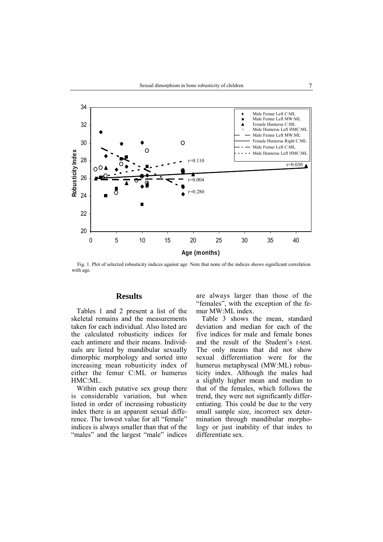

Fig. 1. Plot of selected robusticity indices against age. Note that none of the indices shows significant correlation with age.

#### **Results**

Tables 1 and 2 present a list of the skeletal remains and the measurements taken for each individual. Also listed are the calculated robusticity indices for each antimere and their means. Individuals are listed by mandibular sexually dimorphic morphology and sorted into increasing mean robusticity index of either the femur C:ML or humerus HMC:ML.

Within each putative sex group there is considerable variation, but when listed in order of increasing robusticity index there is an apparent sexual difference. The lowest value for all "female" indices is always smaller than that of the "males" and the largest "male" indices are always larger than those of the "females", with the exception of the femur MW:ML index.

Table 3 shows the mean, standard deviation and median for each of the five indices for male and female bones and the result of the Student's *t*-test. The only means that did not show sexual differentiation were for the humerus metaphyseal (MW:ML) robusticity index. Although the males had a slightly higher mean and median to that of the females, which follows the trend, they were not significantly differentiating. This could be due to the very small sample size, incorrect sex determination through mandibular morphology or just inability of that index to differentiate sex.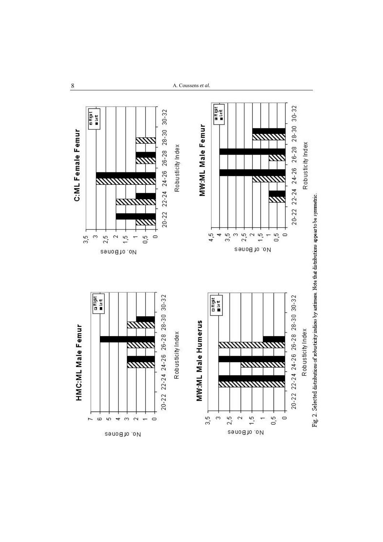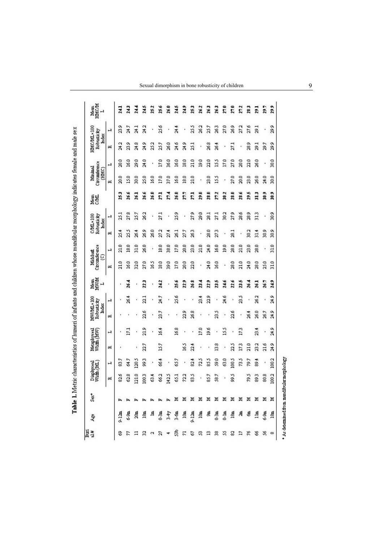|   |       | Width (ML)<br>Diaphyseal |      | Metaphyseal<br>Width (MW) | MAV/ML×100<br>Robusticity |      | Mean<br>MWM    | Circumference<br>Midshat |               |                | C/ML×100<br>Robusticity | Mean<br>C/ML   | Circumference<br>Minimal |                | HMC/ML×100<br>Robusticity |      | Mean<br>HMC/M |
|---|-------|--------------------------|------|---------------------------|---------------------------|------|----------------|--------------------------|---------------|----------------|-------------------------|----------------|--------------------------|----------------|---------------------------|------|---------------|
|   |       |                          |      |                           | Index                     |      | $\overline{a}$ | Θ                        |               |                | Index                   |                | (HMC)                    |                | Index                     |      | $\mathbf{r}$  |
|   | 两     | H                        | 凶    | ı                         | ¤                         | H    |                | 两                        | H             | 凶              | H                       |                | 凶                        | ᆸ              | 凶                         | H    |               |
|   | 826   | 83.7                     |      |                           |                           |      |                | 21.0                     | 21.0          | 254            | 25.1                    | 253            | នី                       | 20.0           | 24.2                      | 23.9 | 241           |
|   | 83    | 64.7                     |      | $\overline{171}$          |                           | š    | 264            | 16.0                     | 28            | 2SS            | 27.8                    | 266            | នី                       | 16.0           | 29                        | 24.7 | 243           |
|   | 121.0 | 120.5                    |      |                           |                           |      |                | 32.0                     | 310           | 264            | 25.7                    | 261            | 30.0                     | 29.0           | 24.8                      | 24.1 | 24.4          |
|   | 1003  | g                        | 22.7 | 219                       | 22.6                      | 22.1 | 223            | 27.0                     | 26.0          | 269            | 262                     | 26.6           | 25.0                     | 24.0           | 24.9                      | 24.2 | 24.5          |
|   | ě     |                          |      |                           |                           |      |                | š                        |               | 26.0           |                         | 26.0           | S                        |                | 252                       |      | 252           |
|   | 662   | 36                       | 157  | 164                       | 23.7                      | 24.7 | 242            | 28.0                     | 280           | 272            | 27.1                    | ្ត             | 17.0                     | 17.0           | 25.7                      | 256  | 25.6          |
|   | 1425  |                          |      |                           |                           |      |                | 200                      | 28.0          | 274            |                         | Ξ              | 27.0                     | 26.0           | 26.0                      |      | 26.0          |
| ≍ | 51    | 657                      |      | 16.8                      |                           | 25.6 | 25.6           | 17.0                     | 17.0          | 26.1           | 259                     | 26.0           | $^{50}$                  | $\frac{60}{2}$ | 24.6                      | 24.4 | 24.5          |
| × | 72.2  |                          | Š    |                           | 23                        |      | 229            | 20                       | 20.0          | 277            |                         | ã              | 280                      | 28.0           | 24.9                      |      | 249           |
| × | 83.5  | 24                       | 22.4 |                           | 268                       |      | 26.8           | 210                      | 20            | g              | 27.9                    | ្ត             | 21.0                     | 21.0           | 25.1                      | ă    | 253           |
| × |       | 725                      |      | 17.0                      |                           | 23.4 | $^{13}$        |                          | 21.0          |                | 29.0                    | 29.0           | ,                        | $^{20}$        |                           | 262  | 262           |
| ≍ | 857   | SS <sub>3</sub>          |      | 36                        |                           | 229  | 229            | 24.0                     | 34.O          | 28.0           | 281                     | 28.0           | 23.0                     | 22.0           | 26.8                      | 25.7 | 263           |
| ≍ | 587   | SO <sub>0</sub>          | 28   |                           | 23.5                      |      | 23.5           | 291                      | 591           | 273            | 27.1                    | 2 <sup>n</sup> | š                        | SS             | 264                       | 263  | 263           |
| ≍ |       | 80                       |      | ĽŠ                        |                           | 24.6 | 24.6           |                          | $\frac{8}{2}$ |                | 302                     | $\frac{2}{30}$ |                          | 17.0           |                           | 27.0 | ្តិ           |
| × | å     | 1005                     | ã    |                           | 226                       |      | 22.6           | 28.0                     | 28.0          | $\frac{1}{28}$ | 279                     | 2810           | 27.0                     | 27.0           | 27.1                      | 269  | 27.0          |
| × |       | å                        | 173  | 173                       |                           | å    | 23.5           | 210                      | 21.0          |                | 28.6                    | 28.6           | ឱ្                       | 2010           |                           | 27.2 | 272           |
| ¥ | 202   | 79.7                     | 210  |                           | 264                       |      | 264            | 24.0                     | 23.0          | 202            | 289                     | 29.5           | 23.0                     | 22.0           | 289                       | 27.6 | 283           |
|   | 3     | 394                      | 23.2 | 23.4                      | 26.0                      | 262  | 261            | 28.0                     | 28.0          | 314            | 313                     | 313            | 26.0                     | 26.0           | 29.1                      | 29.1 | 291           |
|   | 808   |                          | 21.6 |                           | 26.7                      |      | 26.7           | 25.0                     |               | 20             | ٠                       | ខ្ល            | 24.0                     | ٠              | 29.7                      |      | 29.7          |
|   | 1002  | 1002                     | 24.9 | 24.9                      | 24.9                      | 24.9 | 24.9           | 31.0                     | $\frac{2}{3}$ | 20             | 20                      | 20             | 20.0                     | 30.0           | 29.9                      | 29   | 29.9          |

 $^{\bullet}$  As determined from mandfoular morphology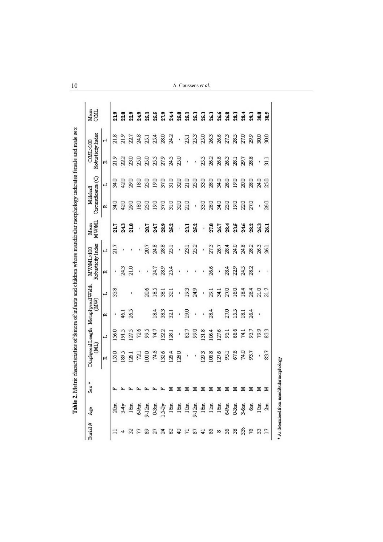| Punal # |                                                                                    | ¥<br>Sex                  | Diaphyseal Length<br>(PMI) |       | Metaphyseal Width<br>(MW) |                  | Robusticity Index<br>MWML×100 |                | <b>MWWIL</b><br>Mean | Circumference (C)<br>Midshaft |      | Robusticity Index<br>COML×100 |           | Mean<br><b>CAML</b> |
|---------|------------------------------------------------------------------------------------|---------------------------|----------------------------|-------|---------------------------|------------------|-------------------------------|----------------|----------------------|-------------------------------|------|-------------------------------|-----------|---------------------|
|         |                                                                                    |                           | 囜                          | H     | 囜                         | L                | α                             | $\overline{1}$ |                      | 囜                             | T    | 囜                             | ᅴ         |                     |
|         |                                                                                    |                           | ຊິ                         | 1360  | ٠                         | 338              | ٠                             | 21.7           | 21.                  | 94<br>N                       | 34.0 | $\frac{2}{3}$                 | 21.8      | $\frac{2}{3}$       |
|         |                                                                                    |                           | 1895                       | 1915  | 46.1                      |                  | 24.3                          |                | 243                  | 42.0                          | 42.0 | 22.2                          | 21.9      | ដី                  |
|         |                                                                                    |                           | 126.1                      | 127.5 | 26.5                      | t,               | 21.0                          |                | 210                  | 29.0                          | 29.0 | 23.0                          | 22.7      | $^{229}$            |
|         |                                                                                    |                           | 72.1                       | 72.6  |                           |                  | ï                             | ï              | ï                    | 18.0                          | 18.0 | 25.0                          | 24.8      | 24.9                |
|         |                                                                                    |                           | $\frac{1000}{2000}$        | S66   |                           | 20.6             | ï                             | 20.7           | 20.7                 | 25.0                          | 25.0 | 25.0                          | 25.1      | E.                  |
| 23      |                                                                                    |                           | 74.6                       | 74.7  | 18.4                      | 18.5             | 24.7                          | 24.8           | 24.7                 | 30                            | 19.0 | 25.5                          | 25.4      | 25.5                |
|         |                                                                                    |                           | 1326                       | 132.2 | 38.3                      | $\overline{381}$ | 28.9                          | 28.8           | 28.9                 | 37.0                          | 37.0 | 27.9                          | 28.0      | $\overline{1}$      |
|         |                                                                                    |                           | 126.4                      | 128.1 | 32.1                      | $\overline{321}$ | 254                           | 25.1           | 25.                  | $\frac{5}{21}$                | 31.0 | 24.5                          | 24.2      | 244                 |
|         |                                                                                    |                           | 128.0                      | ï     | ï                         | ı                | ×                             | ï              | )                    | 32.0                          | 32.0 | 25.0                          | $\bar{1}$ | 25.0                |
|         |                                                                                    |                           | J                          | 83.7  | $^{50}$                   | 23               | $\blacksquare$                | $\overline{a}$ | 3                    | 21.0                          | 21.0 | $\overline{\phantom{a}}$      | 251       | $\frac{1}{2}$       |
|         |                                                                                    |                           | í,                         | 56    | í.                        | 24.9             | r,                            | 25.2           | 25.                  | ì,                            | 25.0 | ı.                            | 253       | 25.3                |
|         |                                                                                    |                           | 129.3                      | 1318  | ï                         | ł,               | ï                             | ï              | ï                    | 33.0                          | 33.0 | 25.5                          | 25.0      | 25.3                |
|         |                                                                                    |                           | 106.8                      | 106.4 | 28.4                      | 29.1             | 26.6                          | 27.3           | 27.0                 | 28.0                          | 28.0 | 26.2                          | 26.3      | 263                 |
|         | មី ង៉ុ ធ្នូ ខ្ញុំ ប៊ូ ប៊ូ ធ្នូ ធ្នូ ប៊ូ ធ្នូ មួ ធ្នូ ខ្ញុំ ម្តូ ច្នូ មួ ធ្នូ មួ ធ្ | * * * * * * * * * * * * * | 127.6                      | 127.6 |                           | 34.1             | í.                            | 26.7           | $26 -$               | 34.0                          | 34.0 | 26.6                          | 26.6      | 26.6                |
|         |                                                                                    |                           | 95.1                       | 95.1  | 27.0                      | 27.0             | 28.4                          | 28.4           | 28.4                 | 25.0                          | 26.0 | 26.3                          | 27.3      | 263                 |
|         |                                                                                    |                           | 67.6                       | 66.6  | SS                        | 16.0             | 22.9                          | 24.0           | 23.5                 | 30                            | 30   | 281                           | 28.5      | 28.3                |
|         |                                                                                    |                           | 74.0                       | 74.1  | $\overline{181}$          | 18.4             | 24.5                          | 24.8           | 24.6                 | 22.0                          | 20.0 | 29.7                          | 27.0      | 28.4                |
| ದೆ ಸ    |                                                                                    |                           | 93.7                       | 93.7  | 26.4                      | 26.4             | 28.2                          | 28.2           | 28.2                 | 27.0                          | 28.0 | 28.8                          | 29.9      | $\frac{3}{2}$       |
|         |                                                                                    |                           | í                          | 299   | t.                        | 21.0             | r,                            | 26.3           | $^{26}$              | ť,                            | 24.0 | ı,                            | 30.0      | g                   |
|         |                                                                                    |                           | 83.7                       | 33    |                           | 21.7             | r,                            | 26.1           | $^{16}$              | 26.0                          | 25.0 | 31.1                          | ន្ត       | 305                 |

0 A. Coussens *et al.*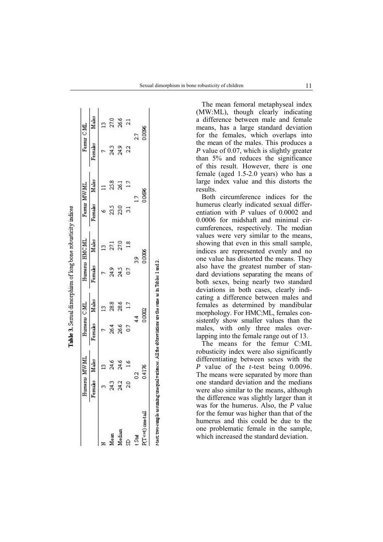|                   | Humerus MW ML |        | Humerus C.ML |        | Humerus HMC.ML |        | Femm MWML |        | Ferrur C.ML |        |
|-------------------|---------------|--------|--------------|--------|----------------|--------|-----------|--------|-------------|--------|
|                   | Females       | Mades  | Females      | Males  | Females        | Males  | Females   | Males  | Females     | Males  |
|                   |               | 9      |              | ≌      |                |        |           |        |             |        |
| <b>Tean</b>       | 24.3          | 24.6   | 264          | 28.8   | 24<br>24       | នី     | 23.5      | 258    | 24.3        | 27.0   |
| Median            | 24.2          | 24.6   | 26.6         | 286    | 24<br>24       | 27.0   | នី        | 26.1   | 24.9        | 26.6   |
|                   | 20            |        | S            |        | S              |        |           |        | 22          |        |
| t Stat            |               | 2      |              |        | å              |        |           | S      |             | 27     |
| P(T<=t) cate-tail |               | 0.4176 |              | 0.0002 |                | 0.0006 |           | 0.0696 |             | 0.0006 |

Table 3. Sexual dimorphism of long bone robusticity indices

The mean femoral metaphyseal index (MW:ML), though clearly indicating a difference between male and female means, has a large standard deviation for the females, which overlaps into the mean of the males. This produces a *P* value of 0.07, which is slightly greater than 5% and reduces the significance of this result. However, there is one female (aged 1.5-2.0 years) who has a large index value and this distorts the results.

Both circumference indices for the humerus clearly indicated sexual differentiation with *P* values of 0.0002 and 0.0006 for midshaft and minimal circumferences, respectively. The median values were very similar to the means, showing that even in this small sample, indices are represented evenly and no one value has distorted the means. They also have the greatest number of standard deviations separating the means of both sexes, being nearly two standard deviations in both cases, clearly indicating a difference between males and females as determined by mandibular morphology. For HMC:ML, females consistently show smaller values than the males, with only three males overlapping into the female range out of 13.

The means for the femur C:ML robusticity index were also significantly differentiating between sexes with the *P* value of the *t*-test being 0.0096. The means were separated by more than one standard deviation and the medians were also similar to the means, although the difference was slightly larger than it was for the humerus. Also, the *P* value for the femur was higher than that of the humerus and this could be due to the one problematic female in the sample, which increased the standard deviation.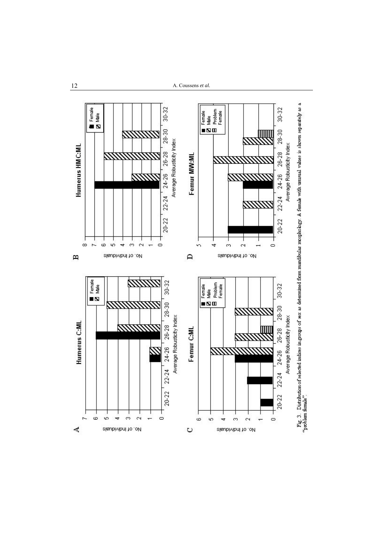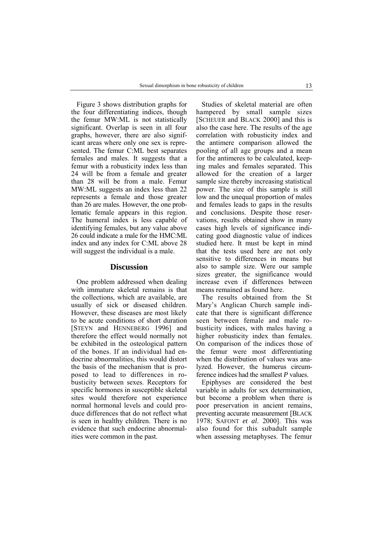Figure 3 shows distribution graphs for the four differentiating indices, though the femur MW:ML is not statistically significant. Overlap is seen in all four graphs, however, there are also significant areas where only one sex is represented. The femur C:ML best separates females and males. It suggests that a femur with a robusticity index less than 24 will be from a female and greater than 28 will be from a male. Femur MW:ML suggests an index less than 22 represents a female and those greater than 26 are males. However, the one problematic female appears in this region. The humeral index is less capable of identifying females, but any value above 26 could indicate a male for the HMC:ML index and any index for C:ML above 28 will suggest the individual is a male.

#### **Discussion**

One problem addressed when dealing with immature skeletal remains is that the collections, which are available, are usually of sick or diseased children. However, these diseases are most likely to be acute conditions of short duration [STEYN and HENNEBERG 1996] and therefore the effect would normally not be exhibited in the osteological pattern of the bones. If an individual had endocrine abnormalities, this would distort the basis of the mechanism that is proposed to lead to differences in robusticity between sexes. Receptors for specific hormones in susceptible skeletal sites would therefore not experience normal hormonal levels and could produce differences that do not reflect what is seen in healthy children. There is no evidence that such endocrine abnormalities were common in the past.

Studies of skeletal material are often hampered by small sample sizes [SCHEUER and BLACK 2000] and this is also the case here. The results of the age correlation with robusticity index and the antimere comparison allowed the pooling of all age groups and a mean for the antimeres to be calculated, keeping males and females separated. This allowed for the creation of a larger sample size thereby increasing statistical power. The size of this sample is still low and the unequal proportion of males and females leads to gaps in the results and conclusions. Despite those reservations, results obtained show in many cases high levels of significance indicating good diagnostic value of indices studied here. It must be kept in mind that the tests used here are not only sensitive to differences in means but also to sample size. Were our sample sizes greater, the significance would increase even if differences between means remained as found here.

The results obtained from the St Mary's Anglican Church sample indicate that there is significant difference seen between female and male robusticity indices, with males having a higher robusticity index than females. On comparison of the indices those of the femur were most differentiating when the distribution of values was analyzed. However, the humerus circumference indices had the smallest *P* values.

Epiphyses are considered the best variable in adults for sex determination, but become a problem when there is poor preservation in ancient remains, preventing accurate measurement [BLACK 1978; SAFONT *et al*. 2000]. This was also found for this subadult sample when assessing metaphyses. The femur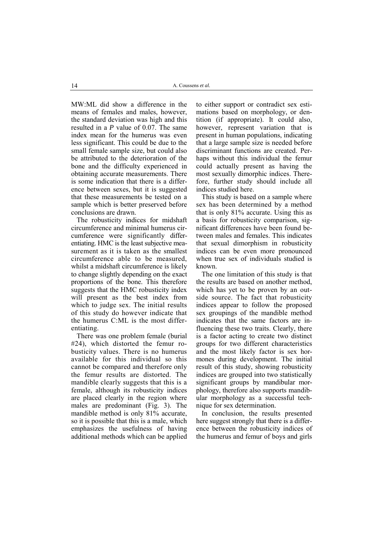MW:ML did show a difference in the means of females and males, however, the standard deviation was high and this resulted in a *P* value of 0.07. The same index mean for the humerus was even less significant. This could be due to the small female sample size, but could also be attributed to the deterioration of the bone and the difficulty experienced in obtaining accurate measurements. There is some indication that there is a difference between sexes, but it is suggested that these measurements be tested on a sample which is better preserved before conclusions are drawn.

The robusticity indices for midshaft circumference and minimal humerus circumference were significantly differentiating. HMC is the least subjective measurement as it is taken as the smallest circumference able to be measured, whilst a midshaft circumference is likely to change slightly depending on the exact proportions of the bone. This therefore suggests that the HMC robusticity index will present as the best index from which to judge sex. The initial results of this study do however indicate that the humerus C:ML is the most differentiating.

There was one problem female (burial #24), which distorted the femur robusticity values. There is no humerus available for this individual so this cannot be compared and therefore only the femur results are distorted. The mandible clearly suggests that this is a female, although its robusticity indices are placed clearly in the region where males are predominant (Fig. 3). The mandible method is only 81% accurate, so it is possible that this is a male, which emphasizes the usefulness of having additional methods which can be applied

to either support or contradict sex estimations based on morphology, or dentition (if appropriate). It could also, however, represent variation that is present in human populations, indicating that a large sample size is needed before discriminant functions are created. Perhaps without this individual the femur could actually present as having the most sexually dimorphic indices. Therefore, further study should include all indices studied here.

This study is based on a sample where sex has been determined by a method that is only 81% accurate. Using this as a basis for robusticity comparison, significant differences have been found between males and females. This indicates that sexual dimorphism in robusticity indices can be even more pronounced when true sex of individuals studied is known.

The one limitation of this study is that the results are based on another method, which has yet to be proven by an outside source. The fact that robusticity indices appear to follow the proposed sex groupings of the mandible method indicates that the same factors are influencing these two traits. Clearly, there is a factor acting to create two distinct groups for two different characteristics and the most likely factor is sex hormones during development. The initial result of this study, showing robusticity indices are grouped into two statistically significant groups by mandibular morphology, therefore also supports mandibular morphology as a successful technique for sex determination.

In conclusion, the results presented here suggest strongly that there is a difference between the robusticity indices of the humerus and femur of boys and girls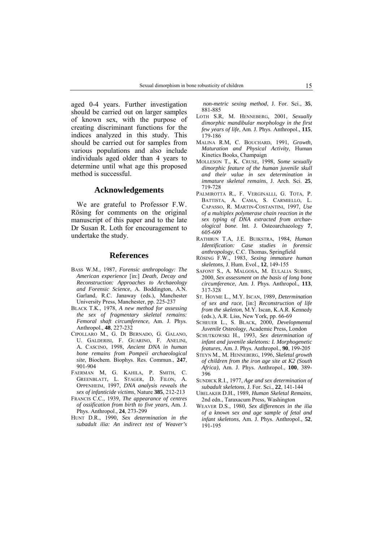aged 0-4 years. Further investigation should be carried out on larger samples of known sex, with the purpose of creating discriminant functions for the indices analyzed in this study. This should be carried out for samples from various populations and also include individuals aged older than 4 years to determine until what age this proposed method is successful.

#### **Acknowledgements**

We are grateful to Professor F.W. Rösing for comments on the original manuscript of this paper and to the late Dr Susan R. Loth for encouragement to undertake the study.

#### **References**

- BASS W.M., 1987, *Forensic anthropology: The American experience* [in:] *Death, Decay and Reconstruction: Approaches to Archaeology and Forensic Science*, A. Boddington, A.N. Garland, R.C. Janaway (eds.), Manchester University Press, Manchester, pp. 225-237
- BLACK T.K., 1978, *A new method for assessing the sex of fragmentary skeletal remains: Femoral shaft circumference*, Am. J. Phys. Anthropol., **48**, 227-232
- CIPOLLARO M., G. DI BERNADO, G. GALANO, U. GALDERISI, F. GUARINO, F. ANELINI, A. CASCINO, 1998, *Ancient DNA in human bone remains from Pompeii archaeological site*, Biochem. Biophys. Res. Commun., **247**, 901-904
- FAERMAN M, G. KAHILA, P. SMITH, C. GREENBLATT, L. STAGER, D. FILON, A. OPPENHEIM, 1997, *DNA analysis reveals the sex of infanticide victims*, Nature **385**, 212-213
- FRANCIS C.C., 1939, *The appearance of centres of ossification from birth to five years*, Am. J. Phys. Anthropol., **24**, 273-299
- HUNT D.R., 1990, *Sex determination in the subadult ilia: An indirect test of Weaver's*

 *non-metric sexing method*, J. For. Sci., **35**, 881-885

- LOTH S.R, M. HENNEBERG, 2001, *Sexually dimorphic mandibular morphology in the first few years of life*, Am. J. Phys. Anthropol., **115**, 179-186
- MALINA R.M, C. BOUCHARD, 1991, *Growth, Maturation and Physical Activity*, Human Kinetics Books, Champaign
- MOLLESON T., K. CRUSE, 1998, *Some sexually dimorphic feature of the human juvenile skull and their value in sex determination in immature skeletal remains*, J. Arch. Sci. **25**, 719-728
- PALMIROTTA R., F. VERGINALLI, G. TOTA, P. BATTISTA, A. CAMA, S. CARMIELLO, L. CAPASSO, R. MARTIN-COSTANTINI, 1997, *Use of a multiplex polymerase chain reaction in the sex typing of DNA extracted from archaeological bone*. Int. J. Osteoarchaeology **7**, 605-609
- RATHBUN T.A, J.E. BUIKSTRA, 1984, *Human Identification: Case studies in forensic anthropology*, C.C. Thomas, Springfield
- R÷SING F.W., 1983, *Sexing immature human skeletons*, J. Hum. Evol., **12**, 149-155
- SAFONT S., A. MALGOSA, M. EULALIA SUBIRS, 2000, *Sex assessment on the basis of long bone circumference*, Am. J. Phys. Anthropol., **113**, 317-328
- ST. HOYME L., M.Y. ISCAN, 1989, *Determination of sex and race*, [in:] *Reconstruction of life from the skeleton*, M.Y. Iscan, K.A.R. Kennedy (eds.), A.R. Liss, New York, pp. 66-69
- SCHEUER L., S. BLACK, 2000, *Developmental Juvenile Osteology*, Academic Press, London
- SCHUTKOWSKI H., 1993, *Sex determination of infant and juvenile skeletons: I. Morphogenetic features*, Am. J. Phys. Anthropol., **90**, 199-205
- STEYN M., M. HENNEBERG, 1996, *Skeletal growth of children from the iron age site at K2 (South Africa)*, Am. J. Phys. Anthropol., **100**, 389- 396
- SUNDICK R.I., 1977, *Age and sex determination of subadult skeletons*, J. For. Sci., **22**, 141-144
- UBELAKER D.H., 1989, *Human Skeletal Remains*, 2nd edn., Taraxacum Press, Washington
- WEAVER D.S., 1980, *Sex differences in the ilia of a known sex and age sample of fetal and infant skeletons*, Am. J. Phys. Anthropol., **52**, 191-195